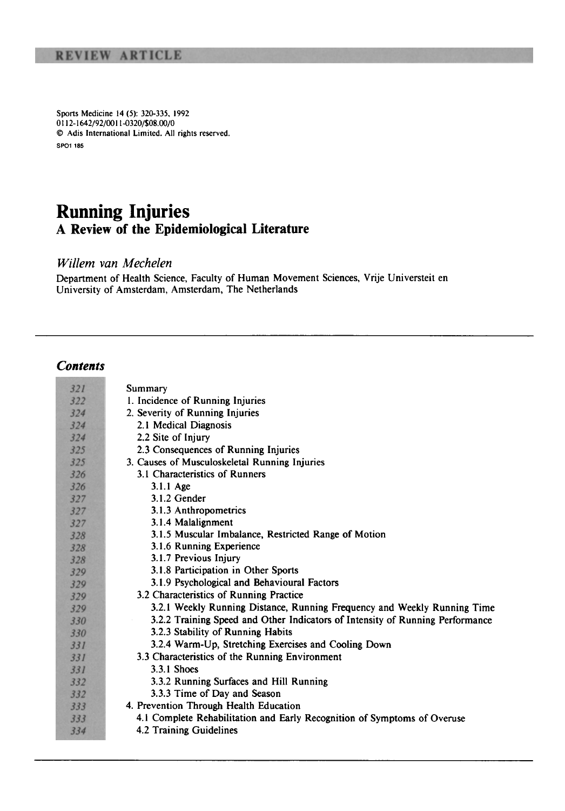Sports Medicine 14 (5): 320-335. 1992 0112-1642/92/00 11-0320/\$08.00/0 © Adis International Limited. All rights reserved. SPO1 185

## **Running Injuries**  A **Review of the Epidemiological Literature**

*Willem van M echelen* 

Department of Health Science, Faculty of Human Movement Sciences, Vrije Universteit en University of Amsterdam, Amsterdam, The Netherlands

## *Contents*

| 321 | Summary                                                                       |
|-----|-------------------------------------------------------------------------------|
| 322 | 1. Incidence of Running Injuries                                              |
| 324 | 2. Severity of Running Injuries                                               |
| 324 | 2.1 Medical Diagnosis                                                         |
| 324 | 2.2 Site of Injury                                                            |
| 325 | 2.3 Consequences of Running Injuries                                          |
| 325 | 3. Causes of Musculoskeletal Running Injuries                                 |
| 326 | 3.1 Characteristics of Runners                                                |
| 326 | $3.1.1$ Age                                                                   |
| 327 | $3.1.2$ Gender                                                                |
| 327 | 3.1.3 Anthropometrics                                                         |
| 327 | 3.1.4 Malalignment                                                            |
| 328 | 3.1.5 Muscular Imbalance, Restricted Range of Motion                          |
| 328 | 3.1.6 Running Experience                                                      |
| 328 | 3.1.7 Previous Injury                                                         |
| 329 | 3.1.8 Participation in Other Sports                                           |
| 329 | 3.1.9 Psychological and Behavioural Factors                                   |
| 329 | 3.2 Characteristics of Running Practice                                       |
| 329 | 3.2.1 Weekly Running Distance, Running Frequency and Weekly Running Time      |
| 330 | 3.2.2 Training Speed and Other Indicators of Intensity of Running Performance |
| 330 | 3.2.3 Stability of Running Habits                                             |
| 331 | 3.2.4 Warm-Up, Stretching Exercises and Cooling Down                          |
| 331 | 3.3 Characteristics of the Running Environment                                |
| 331 | $3.3.1$ Shoes                                                                 |
| 332 | 3.3.2 Running Surfaces and Hill Running                                       |
| 332 | 3.3.3 Time of Day and Season                                                  |
| 333 | 4. Prevention Through Health Education                                        |
| 333 | 4.1 Complete Rehabilitation and Early Recognition of Symptoms of Overuse      |
| 334 | 4.2 Training Guidelines                                                       |